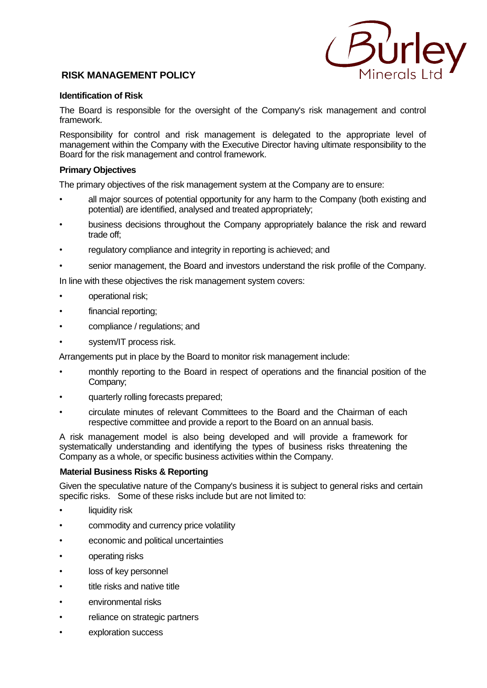

# **RISK MANAGEMENT POLICY**

## **Identification of Risk**

The Board is responsible for the oversight of the Company's risk management and control framework.

Responsibility for control and risk management is delegated to the appropriate level of management within the Company with the Executive Director having ultimate responsibility to the Board for the risk management and control framework.

## **Primary Objectives**

The primary objectives of the risk management system at the Company are to ensure:

- all major sources of potential opportunity for any harm to the Company (both existing and potential) are identified, analysed and treated appropriately;
- business decisions throughout the Company appropriately balance the risk and reward trade off;
- regulatory compliance and integrity in reporting is achieved; and
- senior management, the Board and investors understand the risk profile of the Company.

In line with these objectives the risk management system covers:

- operational risk;
- financial reporting;
- compliance / regulations; and
- system/IT process risk.

Arrangements put in place by the Board to monitor risk management include:

- monthly reporting to the Board in respect of operations and the financial position of the Company;
- quarterly rolling forecasts prepared;
- circulate minutes of relevant Committees to the Board and the Chairman of each respective committee and provide a report to the Board on an annual basis.

A risk management model is also being developed and will provide a framework for systematically understanding and identifying the types of business risks threatening the Company as a whole, or specific business activities within the Company.

## **Material Business Risks & Reporting**

Given the speculative nature of the Company's business it is subject to general risks and certain specific risks. Some of these risks include but are not limited to:

- liquidity risk
- commodity and currency price volatility
- economic and political uncertainties
- operating risks
- loss of key personnel
- title risks and native title
- environmental risks
- reliance on strategic partners
- exploration success